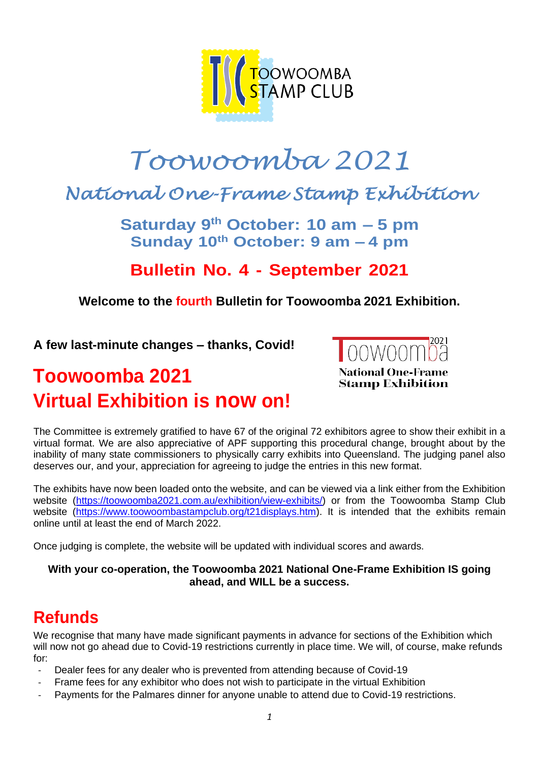

# *Toowoomba 2021*

# *National One-Frame Stamp Exhibition*

**Saturday 9 th October: 10 am – 5 pm Sunday 10th October: 9 am – 4 pm**

### **Bulletin No. 4 - September 2021**

#### **Welcome to the fourth Bulletin for Toowoomba 2021 Exhibition.**

**A few last-minute changes – thanks, Covid!**

# **Toowoomba 2021 Virtual Exhibition is now on!**



The Committee is extremely gratified to have 67 of the original 72 exhibitors agree to show their exhibit in a virtual format. We are also appreciative of APF supporting this procedural change, brought about by the inability of many state commissioners to physically carry exhibits into Queensland. The judging panel also deserves our, and your, appreciation for agreeing to judge the entries in this new format.

The exhibits have now been loaded onto the website, and can be viewed via a link either from the Exhibition website [\(https://toowoomba2021.com.au/exhibition/view-exhibits/\)](https://toowoomba2021.com.au/exhibition/view-exhibits/) or from the Toowoomba Stamp Club website [\(https://www.toowoombastampclub.org/t21displays.htm\)](https://www.toowoombastampclub.org/t21displays.htm). It is intended that the exhibits remain online until at least the end of March 2022.

Once judging is complete, the website will be updated with individual scores and awards.

#### **With your co-operation, the Toowoomba 2021 National One-Frame Exhibition IS going ahead, and WILL be a success.**

# **Refunds**

We recognise that many have made significant payments in advance for sections of the Exhibition which will now not go ahead due to Covid-19 restrictions currently in place time. We will, of course, make refunds for:

- Dealer fees for any dealer who is prevented from attending because of Covid-19
- Frame fees for any exhibitor who does not wish to participate in the virtual Exhibition
- Payments for the Palmares dinner for anyone unable to attend due to Covid-19 restrictions.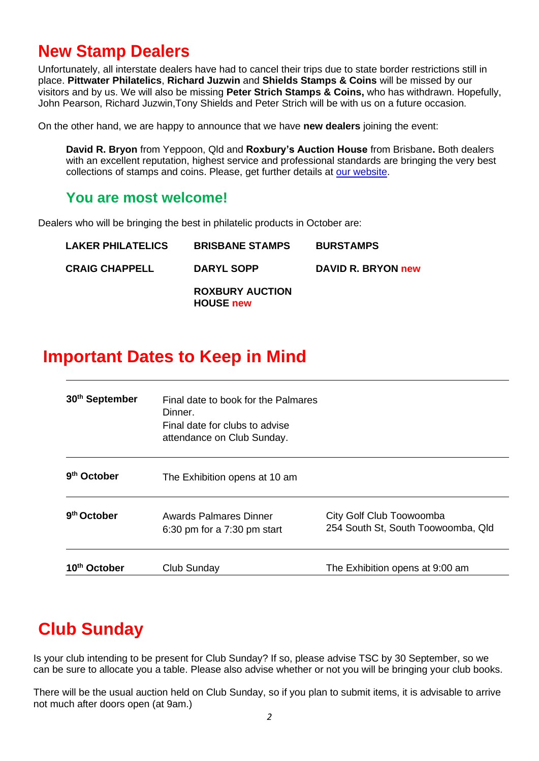### **New Stamp Dealers**

Unfortunately, all interstate dealers have had to cancel their trips due to state border restrictions still in place. **Pittwater Philatelics**, **Richard Juzwin** and **Shields Stamps & Coins** will be missed by our visitors and by us. We will also be missing **Peter Strich Stamps & Coins,** who has withdrawn. Hopefully, John Pearson, Richard Juzwin,Tony Shields and Peter Strich will be with us on a future occasion.

On the other hand, we are happy to announce that we have **new dealers** joining the event:

**David R. Bryon** from Yeppoon, Qld and **Roxbury's Auction House** from Brisbane**.** Both dealers with an excellent reputation, highest service and professional standards are bringing the very best collections of stamps and coins. Please, get further details at [our website.](https://toowoomba2021.com.au/stamp-dealers/)

#### **You are most welcome!**

Dealers who will be bringing the best in philatelic products in October are:

| <b>LAKER PHILATELICS</b> | <b>BRISBANE STAMPS</b>                     | <b>BURSTAMPS</b>   |
|--------------------------|--------------------------------------------|--------------------|
| <b>CRAIG CHAPPELL</b>    | DARYL SOPP                                 | DAVID R. BRYON new |
|                          | <b>ROXBURY AUCTION</b><br><b>HOUSE new</b> |                    |

### **Important Dates to Keep in Mind**

| 30 <sup>th</sup> September | Final date to book for the Palmares<br>Dinner.<br>Final date for clubs to advise<br>attendance on Club Sunday. |                                                                |
|----------------------------|----------------------------------------------------------------------------------------------------------------|----------------------------------------------------------------|
| 9 <sup>th</sup> October    | The Exhibition opens at 10 am                                                                                  |                                                                |
| 9 <sup>th</sup> October    | Awards Palmares Dinner<br>$6:30$ pm for a $7:30$ pm start                                                      | City Golf Club Toowoomba<br>254 South St, South Toowoomba, Qld |
| October                    | Club Sunday                                                                                                    | The Exhibition opens at 9:00 am                                |

# **Club Sunday**

Is your club intending to be present for Club Sunday? If so, please advise TSC by 30 September, so we can be sure to allocate you a table. Please also advise whether or not you will be bringing your club books.

There will be the usual auction held on Club Sunday, so if you plan to submit items, it is advisable to arrive not much after doors open (at 9am.)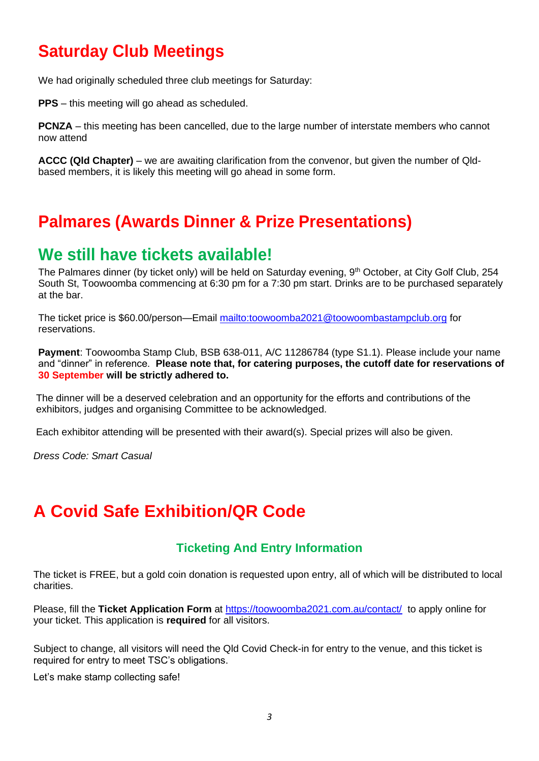# **Saturday Club Meetings**

We had originally scheduled three club meetings for Saturday:

**PPS** – this meeting will go ahead as scheduled.

**PCNZA** – this meeting has been cancelled, due to the large number of interstate members who cannot now attend

**ACCC (Qld Chapter)** – we are awaiting clarification from the convenor, but given the number of Qldbased members, it is likely this meeting will go ahead in some form.

### **Palmares (Awards Dinner & Prize Presentations)**

#### **We still have tickets available!**

The Palmares dinner (by ticket only) will be held on Saturday evening, 9<sup>th</sup> October, at City Golf Club, 254 South St, Toowoomba commencing at 6:30 pm for a 7:30 pm start. Drinks are to be purchased separately at the bar.

The ticket price is \$60.00/person—Email<mailto:toowoomba2021@toowoombastampclub.org> for reservations.

**Payment**: Toowoomba Stamp Club, BSB 638-011, A/C 11286784 (type S1.1). Please include your name and "dinner" in reference. **Please note that, for catering purposes, the cutoff date for reservations of 30 September will be strictly adhered to.**

The dinner will be a deserved celebration and an opportunity for the efforts and contributions of the exhibitors, judges and organising Committee to be acknowledged.

Each exhibitor attending will be presented with their award(s). Special prizes will also be given.

*Dress Code: Smart Casual* 

# **A Covid Safe Exhibition/QR Code**

#### **Ticketing And Entry Information**

The ticket is FREE, but a gold coin donation is requested upon entry, all of which will be distributed to local charities.

Please, fill the **Ticket Application Form** at https://toowoomba2021.com.au/contact/ to apply online for your ticket. This application is **required** for all visitors.

Subject to change, all visitors will need the Qld Covid Check-in for entry to the venue, and this ticket is required for entry to meet TSC's obligations.

Let's make stamp collecting safe!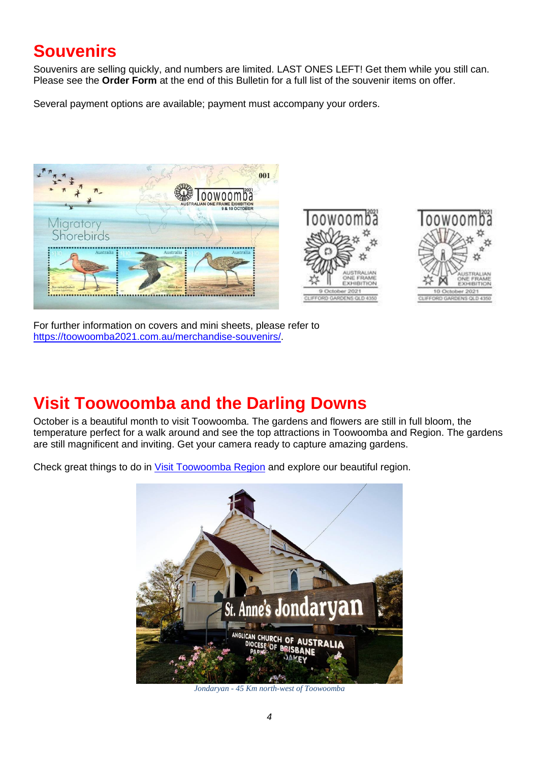# **Souvenirs**

Souvenirs are selling quickly, and numbers are limited. LAST ONES LEFT! Get them while you still can. Please see the **Order Form** at the end of this Bulletin for a full list of the souvenir items on offer.

Several payment options are available; payment must accompany your orders.







For further information on covers and mini sheets, please refer to [https://toowoomba2021.com.au/merchandise-souvenirs/.](https://toowoomba2021.com.au/merchandise-souvenirs/)

# **Visit Toowoomba and the Darling Downs**

October is a beautiful month to visit Toowoomba. The gardens and flowers are still in full bloom, the temperature perfect for a walk around and see the top attractions in Toowoomba and Region. The gardens are still magnificent and inviting. Get your camera ready to capture amazing gardens.

Check great things to do in [Visit Toowoomba Region](https://visittoowoombaregion.com.au/) and explore our beautiful region.



*Jondaryan - 45 Km north-west of Toowoomba*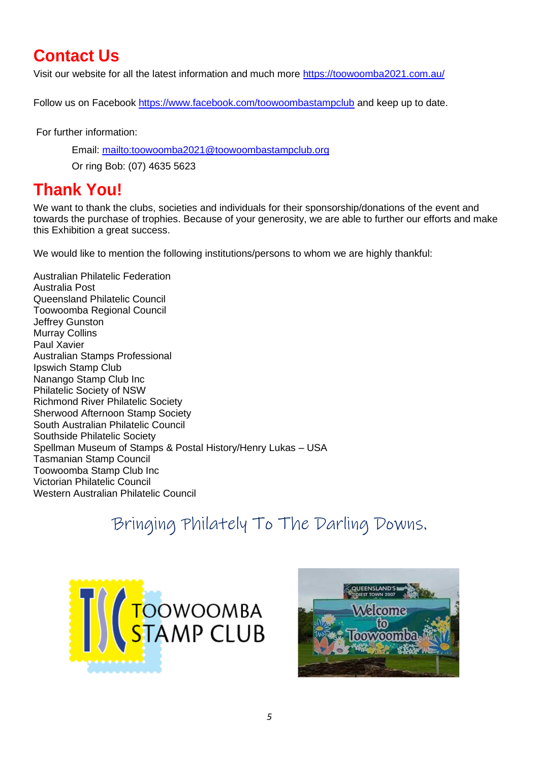# **Contact Us**

Visit our website for all the latest information and much more<https://toowoomba2021.com.au/>

Follow us on Facebook<https://www.facebook.com/toowoombastampclub> and keep up to date.

For further information:

Email:<mailto:toowoomba2021@toowoombastampclub.org>

Or ring Bob: (07) 4635 5623

### **Thank You!**

We want to thank the clubs, societies and individuals for their sponsorship/donations of the event and towards the purchase of trophies. Because of your generosity, we are able to further our efforts and make this Exhibition a great success.

We would like to mention the following institutions/persons to whom we are highly thankful:

Australian Philatelic Federation Australia Post Queensland Philatelic Council Toowoomba Regional Council Jeffrey Gunston Murray Collins Paul Xavier Australian Stamps Professional Ipswich Stamp Club Nanango Stamp Club Inc Philatelic Society of NSW Richmond River Philatelic Society Sherwood Afternoon Stamp Society South Australian Philatelic Council Southside Philatelic Society Spellman Museum of Stamps & Postal History/Henry Lukas – USA Tasmanian Stamp Council Toowoomba Stamp Club Inc Victorian Philatelic Council Western Australian Philatelic Council

# Bringing Philately To The Darling Downs.



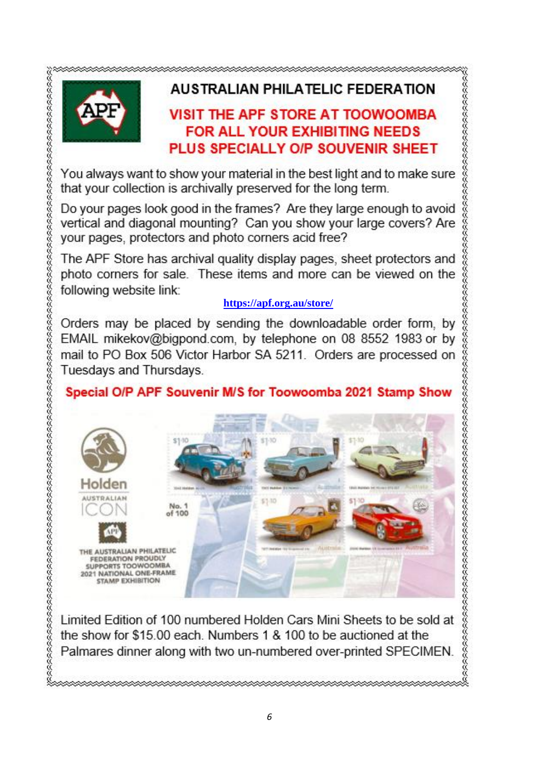

#### **AUSTRALIAN PHILATELIC FEDERATION**

#### VISIT THE APF STORE AT TOOWOOMBA **FOR ALL YOUR EXHIBITING NEEDS** PLUS SPECIALLY O/P SOUVENIR SHEET

**グタクタクタクタクタクタクタクタクタクスクスクスクタクタクスクス** 

You always want to show your material in the best light and to make sure that your collection is archivally preserved for the long term.

Do your pages look good in the frames? Are they large enough to avoid vertical and diagonal mounting? Can you show your large covers? Are your pages, protectors and photo corners acid free?

The APF Store has archival quality display pages, sheet protectors and photo corners for sale. These items and more can be viewed on the following website link:

#### **<https://apf.org.au/store/>**

Orders may be placed by sending the downloadable order form, by EMAIL mikekov@bigpond.com, by telephone on 08 8552 1983 or by mail to PO Box 506 Victor Harbor SA 5211. Orders are processed on Tuesdays and Thursdays.

#### Special O/P APF Souvenir M/S for Toowoomba 2021 Stamp Show



Limited Edition of 100 numbered Holden Cars Mini Sheets to be sold at the show for \$15.00 each. Numbers 1 & 100 to be auctioned at the Palmares dinner along with two un-numbered over-printed SPECIMEN.